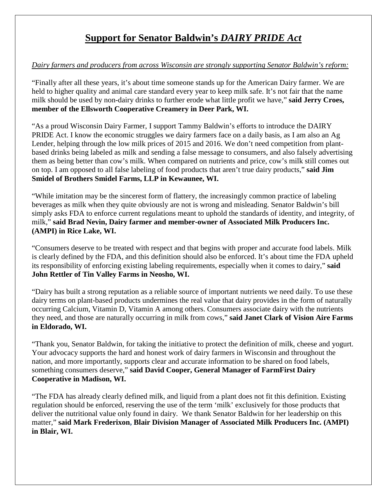## **Support for Senator Baldwin's** *DAIRY PRIDE Act*

## *Dairy farmers and producers from across Wisconsin are strongly supporting Senator Baldwin's reform:*

"Finally after all these years, it's about time someone stands up for the American Dairy farmer. We are held to higher quality and animal care standard every year to keep milk safe. It's not fair that the name milk should be used by non-dairy drinks to further erode what little profit we have," **said Jerry Croes, member of the Ellsworth Cooperative Creamery in Deer Park, WI.**

"As a proud Wisconsin Dairy Farmer, I support Tammy Baldwin's efforts to introduce the DAIRY PRIDE Act. I know the economic struggles we dairy farmers face on a daily basis, as I am also an Ag Lender, helping through the low milk prices of 2015 and 2016. We don't need competition from plantbased drinks being labeled as milk and sending a false message to consumers, and also falsely advertising them as being better than cow's milk. When compared on nutrients and price, cow's milk still comes out on top. I am opposed to all false labeling of food products that aren't true dairy products," **said Jim Smidel of Brothers Smidel Farms, LLP in Kewaunee, WI.**

"While imitation may be the sincerest form of flattery, the increasingly common practice of labeling beverages as milk when they quite obviously are not is wrong and misleading. Senator Baldwin's bill simply asks FDA to enforce current regulations meant to uphold the standards of identity, and integrity, of milk," **said Brad Nevin, Dairy farmer and member-owner of Associated Milk Producers Inc. (AMPI) in Rice Lake, WI.**

"Consumers deserve to be treated with respect and that begins with proper and accurate food labels. Milk is clearly defined by the FDA, and this definition should also be enforced. It's about time the FDA upheld its responsibility of enforcing existing labeling requirements, especially when it comes to dairy," **said John Rettler of Tin Valley Farms in Neosho, WI.**

"Dairy has built a strong reputation as a reliable source of important nutrients we need daily. To use these dairy terms on plant-based products undermines the real value that dairy provides in the form of naturally occurring Calcium, Vitamin D, Vitamin A among others. Consumers associate dairy with the nutrients they need, and those are naturally occurring in milk from cows," **said Janet Clark of Vision Aire Farms in Eldorado, WI.**

"Thank you, Senator Baldwin, for taking the initiative to protect the definition of milk, cheese and yogurt. Your advocacy supports the hard and honest work of dairy farmers in Wisconsin and throughout the nation, and more importantly, supports clear and accurate information to be shared on food labels, something consumers deserve," **said David Cooper, General Manager of FarmFirst Dairy Cooperative in Madison, WI.**

"The FDA has already clearly defined milk, and liquid from a plant does not fit this definition. Existing regulation should be enforced, reserving the use of the term 'milk' exclusively for those products that deliver the nutritional value only found in dairy. We thank Senator Baldwin for her leadership on this matter," **said Mark Frederixon, Blair Division Manager of Associated Milk Producers Inc. (AMPI) in Blair, WI.**